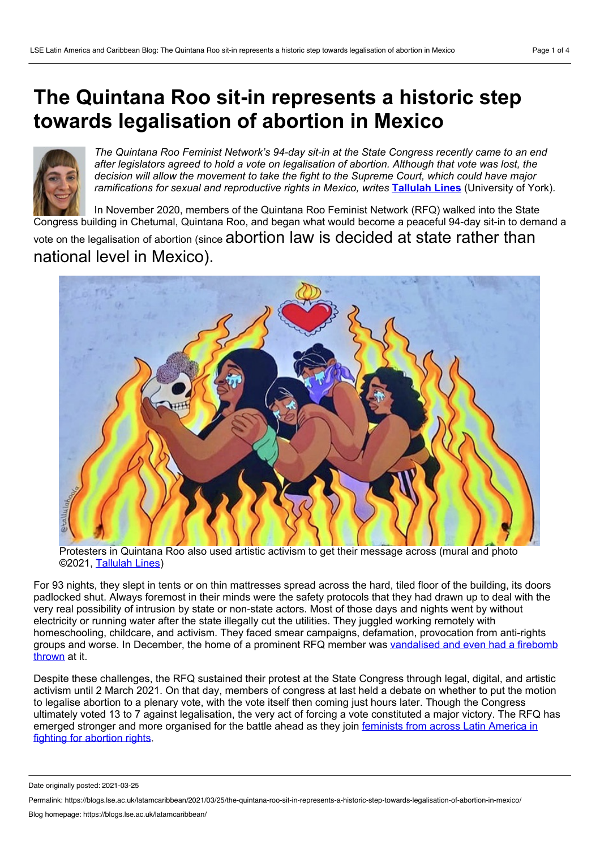## **The Quintana Roo sit-in represents a historic step towards legalisation of abortion in Mexico**



*The Quintana Roo Feminist Network's 94-day sit-in at the State Congress recently came to an end after legislators agreed to hold a vote on legalisation of abortion. Although that vote was lost, the decision will allow the movement to take the fight to the Supreme Court, which could have major ramifications for sexual and reproductive rights in Mexico, writes* **[Tallulah](#page-3-0) Lines** (University of York)*.*

In November 2020, members of the Quintana Roo Feminist Network (RFQ) walked into the State Congress building in Chetumal, Quintana Roo, and began what would become a peaceful 94-day sit-in to demand a

vote on the legalisation of abortion (since abortion law is decided at state rather than national level in Mexico).



Protesters in Quintana Roo also used artistic activism to get their message across (mural and photo ©2021, [Tallulah](http://tallulahlines.tumblr.com/) Lines)

For 93 nights, they slept in tents or on thin mattresses spread across the hard, tiled floor of the building, its doors padlocked shut. Always foremost in their minds were the safety protocols that they had drawn up to deal with the very real possibility of intrusion by state or non-state actors. Most of those days and nights went by without electricity or running water after the state illegally cut the utilities. They juggled working remotely with homeschooling, childcare, and activism. They faced smear campaigns, defamation, provocation from anti-rights groups and worse. In [December,](https://im-defensoras.org/2020/12/whrd-alert-mexico-anti-rights-aggressors-break-car-window-paint-slogans-and-throw-eggs-and-fire-bomb-at-the-home-of-ariadne-song-in-state-of-quintana-roo/) the home of a prominent RFQ member was vandalised and even had a firebomb thrown at it.

Despite these challenges, the RFQ sustained their protest at the State Congress through legal, digital, and artistic activism until 2 March 2021. On that day, members of congress at last held a debate on whether to put the motion to legalise abortion to a plenary vote, with the vote itself then coming just hours later. Though the Congress ultimately voted 13 to 7 against legalisation, the very act of forcing a vote constituted a major victory. The RFQ has emerged stronger and more [organised](https://blogs.lse.ac.uk/latamcaribbean/2021/01/27/argentinas-legalisation-of-abortion-is-only-the-beginning-of-the-battle-for-reproductive-rights-in-latin-america/) for the battle ahead as they join feminists from across Latin America in fighting for abortion rights.

Date originally posted: 2021-03-25

Permalink: https://blogs.lse.ac.uk/latamcaribbean/2021/03/25/the-quintana-roo-sit-in-represents-a-historic-step-towards-legalisation-of-abortion-in-mexico/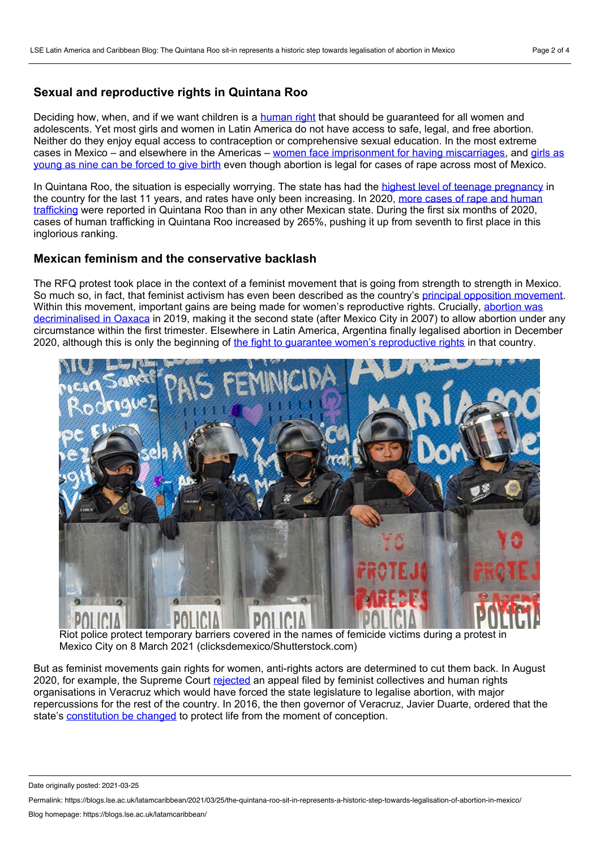## **Sexual and reproductive rights in Quintana Roo**

Deciding how, when, and if we want children is a [human](https://www.unfpa.org/pcm/node/17849) right that should be guaranteed for all women and adolescents. Yet most girls and women in Latin America do not have access to safe, legal, and free abortion. Neither do they enjoy equal access to contraception or comprehensive sexual education. In the most extreme cases in Mexico – and elsewhere in the Americas – women face [imprisonment](https://www.bbc.com/mundo/noticias-america-latina-36863185) for having miscarriages, and girls as young as nine can be forced to give birth even though abortion is legal for cases of rape across most of Mexico.

In Quintana Roo, the situation is especially worrying. The state has had the highest level of teenage [pregnancy](https://salud.qroo.gob.mx/revista/revistas/21/4.pdf) in the country for the last 11 years, and rates have only been [increasing.](https://www.poresto.net/quintana-roo/2020/10/5/quintana-roo-entre-los-estados-con-mas-casos-de-abuso-sexual-216035.html) In 2020, more cases of rape and human trafficking were reported in Quintana Roo than in any other Mexican state. During the first six months of 2020, cases of human trafficking in Quintana Roo increased by 265%, pushing it up from seventh to first place in this inglorious ranking.

## **Mexican feminism and the conservative backlash**

The RFQ protest took place in the context of a feminist movement that is going from strength to strength in Mexico. So much so, in fact, that feminist activism has even been described as the country's principal opposition [movement](https://www.washingtonpost.com/es/post-opinion/2021/03/07/8m-2021-protestas-feminismo-movimiento-opositor-mexico/?fbclid=IwAR1hE33y3TW5UGo1SwqdyrARINjW27z51hj5Gq35j96ezLhCS2YuDLUVE48). Within this movement, important gains are being made for women's reproductive rights. Crucially, abortion was [decriminalised](https://nacla.org/news/2019/10/03/oaxaca-abortion-decriminalization-green-tide) in Oaxaca in 2019, making it the second state (after Mexico City in 2007) to allow abortion under any circumstance within the first trimester. Elsewhere in Latin America, Argentina finally legalised abortion in December 2020, although this is only the beginning of the fight to guarantee women's [reproductive](https://blogs.lse.ac.uk/latamcaribbean/2021/01/27/argentinas-legalisation-of-abortion-is-only-the-beginning-of-the-battle-for-reproductive-rights-in-latin-america/) rights in that country.



Riot police protect temporary barriers covered in the names of femicide victims during a protest in Mexico City on 8 March 2021 (clicksdemexico/Shutterstock.com)

But as feminist movements gain rights for women, anti-rights actors are determined to cut them back. In August 2020, for example, the Supreme Court [rejected](https://www.jurist.org/news/2020/08/mexico-supreme-court-refuses-to-uphold-injunction-decriminalizing-abortion-in-veracruz/) an appeal filed by feminist collectives and human rights organisations in Veracruz which would have forced the state legislature to legalise abortion, with major repercussions for the rest of the country. In 2016, the then governor of Veracruz, Javier Duarte, ordered that the state's [constitution](https://www.animalpolitico.com/2020/07/corte-despenalizacion-aborto-veracruz-ola-verde/) be changed to protect life from the moment of conception.

Date originally posted: 2021-03-25

Permalink: https://blogs.lse.ac.uk/latamcaribbean/2021/03/25/the-quintana-roo-sit-in-represents-a-historic-step-towards-legalisation-of-abortion-in-mexico/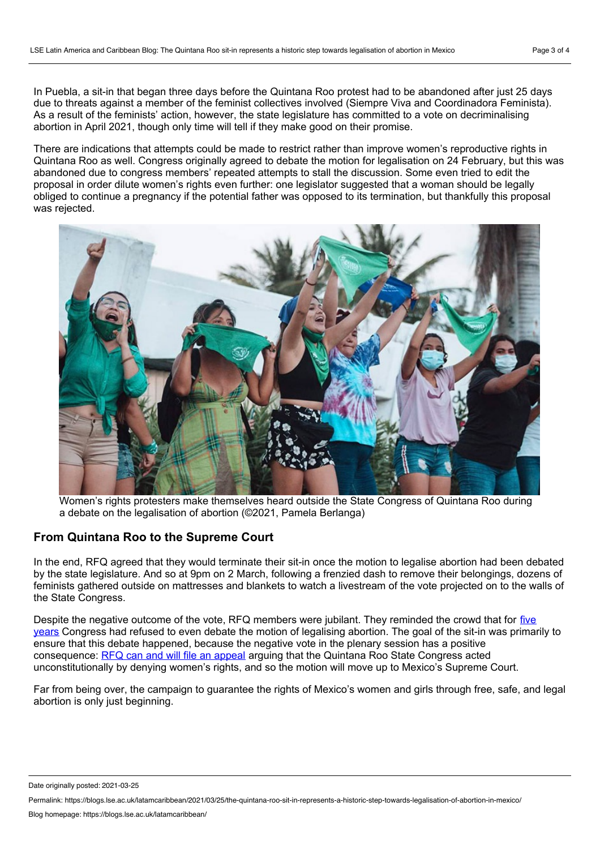In Puebla, a sit-in that began three days before the Quintana Roo protest had to be abandoned after just 25 days due to threats against a member of the feminist collectives involved (Siempre Viva and Coordinadora Feminista). As a result of the feminists' action, however, the state legislature has committed to a vote on decriminalising abortion in April 2021, though only time will tell if they make good on their promise.

There are indications that attempts could be made to restrict rather than improve women's reproductive rights in Quintana Roo as well. Congress originally agreed to debate the motion for legalisation on 24 February, but this was abandoned due to congress members' repeated attempts to stall the discussion. Some even tried to edit the proposal in order dilute women's rights even further: one legislator suggested that a woman should be legally obliged to continue a pregnancy if the potential father was opposed to its termination, but thankfully this proposal was rejected.



Women's rights protesters make themselves heard outside the State Congress of Quintana Roo during a debate on the legalisation of abortion (©2021, Pamela Berlanga)

## **From Quintana Roo to the Supreme Court**

In the end, RFQ agreed that they would terminate their sit-in once the motion to legalise abortion had been debated by the state legislature. And so at 9pm on 2 March, following a frenzied dash to remove their belongings, dozens of feminists gathered outside on mattresses and blankets to watch a livestream of the vote projected on to the walls of the State Congress.

Despite the negative outcome of the vote, RFQ members were jubilant. They reminded the crowd that for five years [Congress](https://www.facebook.com/siempreunidasPlaya/posts/3885152061580113) had refused to even debate the motion of legalising abortion. The goal of the sit-in was primarily to ensure that this debate happened, because the negative vote in the plenary session has a positive consequence: RFQ can and will file an [appeal](https://www.facebook.com/siempreunidasPlaya/posts/3888840311211288) arguing that the Quintana Roo State Congress acted unconstitutionally by denying women's rights, and so the motion will move up to Mexico's Supreme Court.

Far from being over, the campaign to guarantee the rights of Mexico's women and girls through free, safe, and legal abortion is only just beginning.

Date originally posted: 2021-03-25

Permalink: https://blogs.lse.ac.uk/latamcaribbean/2021/03/25/the-quintana-roo-sit-in-represents-a-historic-step-towards-legalisation-of-abortion-in-mexico/